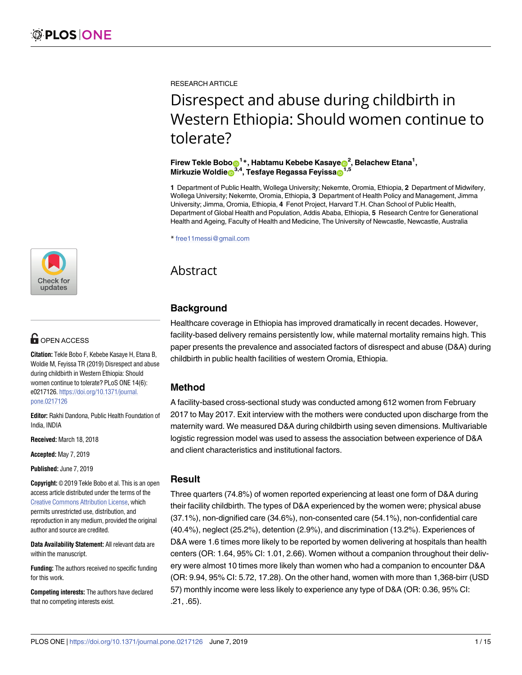RESEARCH ARTICLE

# Disrespect and abuse during childbirth in Western Ethiopia: Should women continue to tolerate?

#### ${\bf F}$ irew Tekle Bobo ${\bf D}^{1*}$ , Habtamu Kebebe Kasaye ${\bf D}^2$ , Belachew Etana<sup>1</sup>, **Mirkuzie Woldie**<sup>3,4</sup>, Tesfaye Regassa Feyissa<sup>1,5</sup>

**1** Department of Public Health, Wollega University; Nekemte, Oromia, Ethiopia, **2** Department of Midwifery, Wollega University; Nekemte, Oromia, Ethiopia, **3** Department of Health Policy and Management, Jimma University; Jimma, Oromia, Ethiopia, **4** Fenot Project, Harvard T.H. Chan School of Public Health, Department of Global Health and Population, Addis Ababa, Ethiopia, **5** Research Centre for Generational Health and Ageing, Faculty of Health and Medicine, The University of Newcastle, Newcastle, Australia

\* free11messi@gmail.com

# Abstract

# **Background**

Healthcare coverage in Ethiopia has improved dramatically in recent decades. However, facility-based delivery remains persistently low, while maternal mortality remains high. This paper presents the prevalence and associated factors of disrespect and abuse (D&A) during childbirth in public health facilities of western Oromia, Ethiopia.

# **Method**

A facility-based cross-sectional study was conducted among 612 women from February 2017 to May 2017. Exit interview with the mothers were conducted upon discharge from the maternity ward. We measured D&A during childbirth using seven dimensions. Multivariable logistic regression model was used to assess the association between experience of D&A and client characteristics and institutional factors.

#### **Result**

Three quarters (74.8%) of women reported experiencing at least one form of D&A during their facility childbirth. The types of D&A experienced by the women were; physical abuse (37.1%), non-dignified care (34.6%), non-consented care (54.1%), non-confidential care (40.4%), neglect (25.2%), detention (2.9%), and discrimination (13.2%). Experiences of D&A were 1.6 times more likely to be reported by women delivering at hospitals than health centers (OR: 1.64, 95% CI: 1.01, 2.66). Women without a companion throughout their delivery were almost 10 times more likely than women who had a companion to encounter D&A (OR: 9.94, 95% CI: 5.72, 17.28). On the other hand, women with more than 1,368-birr (USD 57) monthly income were less likely to experience any type of D&A (OR: 0.36, 95% CI: .21, .65).



# **G** OPEN ACCESS

**Citation:** Tekle Bobo F, Kebebe Kasaye H, Etana B, Woldie M, Feyissa TR (2019) Disrespect and abuse during childbirth in Western Ethiopia: Should women continue to tolerate? PLoS ONE 14(6): e0217126. [https://doi.org/10.1371/journal.](https://doi.org/10.1371/journal.pone.0217126) [pone.0217126](https://doi.org/10.1371/journal.pone.0217126)

**Editor:** Rakhi Dandona, Public Health Foundation of India, INDIA

**Received:** March 18, 2018

**Accepted:** May 7, 2019

**Published:** June 7, 2019

**Copyright:** © 2019 Tekle Bobo et al. This is an open access article distributed under the terms of the Creative Commons [Attribution](http://creativecommons.org/licenses/by/4.0/) License, which permits unrestricted use, distribution, and reproduction in any medium, provided the original author and source are credited.

**Data Availability Statement:** All relevant data are within the manuscript.

**Funding:** The authors received no specific funding for this work.

**Competing interests:** The authors have declared that no competing interests exist.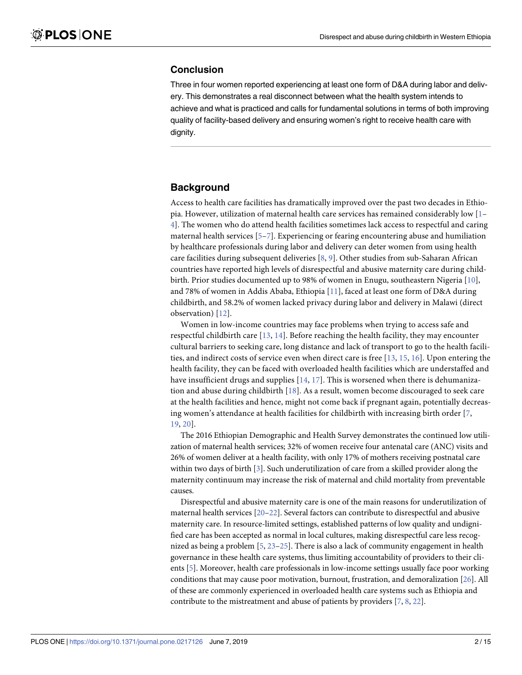# <span id="page-1-0"></span>**Conclusion**

Three in four women reported experiencing at least one form of D&A during labor and delivery. This demonstrates a real disconnect between what the health system intends to achieve and what is practiced and calls for fundamental solutions in terms of both improving quality of facility-based delivery and ensuring women's right to receive health care with dignity.

# **Background**

Access to health care facilities has dramatically improved over the past two decades in Ethiopia. However, utilization of maternal health care services has remained considerably low [\[1–](#page-13-0) [4\]](#page-13-0). The women who do attend health facilities sometimes lack access to respectful and caring maternal health services [[5–7\]](#page-13-0). Experiencing or fearing encountering abuse and humiliation by healthcare professionals during labor and delivery can deter women from using health care facilities during subsequent deliveries [\[8,](#page-13-0) [9](#page-13-0)]. Other studies from sub-Saharan African countries have reported high levels of disrespectful and abusive maternity care during childbirth. Prior studies documented up to 98% of women in Enugu, southeastern Nigeria [\[10\]](#page-13-0), and 78% of women in Addis Ababa, Ethiopia [\[11\]](#page-13-0), faced at least one form of D&A during childbirth, and 58.2% of women lacked privacy during labor and delivery in Malawi (direct observation) [[12](#page-13-0)].

Women in low-income countries may face problems when trying to access safe and respectful childbirth care [[13](#page-13-0), [14\]](#page-13-0). Before reaching the health facility, they may encounter cultural barriers to seeking care, long distance and lack of transport to go to the health facilities, and indirect costs of service even when direct care is free [[13,](#page-13-0) [15](#page-13-0), [16](#page-13-0)]. Upon entering the health facility, they can be faced with overloaded health facilities which are understaffed and have insufficient drugs and supplies [\[14](#page-13-0), [17](#page-13-0)]. This is worsened when there is dehumanization and abuse during childbirth [\[18\]](#page-14-0). As a result, women become discouraged to seek care at the health facilities and hence, might not come back if pregnant again, potentially decreasing women's attendance at health facilities for childbirth with increasing birth order [[7,](#page-13-0) [19,](#page-14-0) [20](#page-14-0)].

The 2016 Ethiopian Demographic and Health Survey demonstrates the continued low utilization of maternal health services; 32% of women receive four antenatal care (ANC) visits and 26% of women deliver at a health facility, with only 17% of mothers receiving postnatal care within two days of birth [[3](#page-13-0)]. Such underutilization of care from a skilled provider along the maternity continuum may increase the risk of maternal and child mortality from preventable causes.

Disrespectful and abusive maternity care is one of the main reasons for underutilization of maternal health services [\[20–22](#page-14-0)]. Several factors can contribute to disrespectful and abusive maternity care. In resource-limited settings, established patterns of low quality and undignified care has been accepted as normal in local cultures, making disrespectful care less recognized as being a problem [\[5](#page-13-0), [23–25\]](#page-14-0). There is also a lack of community engagement in health governance in these health care systems, thus limiting accountability of providers to their clients [[5\]](#page-13-0). Moreover, health care professionals in low-income settings usually face poor working conditions that may cause poor motivation, burnout, frustration, and demoralization [\[26\]](#page-14-0). All of these are commonly experienced in overloaded health care systems such as Ethiopia and contribute to the mistreatment and abuse of patients by providers [\[7,](#page-13-0) [8,](#page-13-0) [22\]](#page-14-0).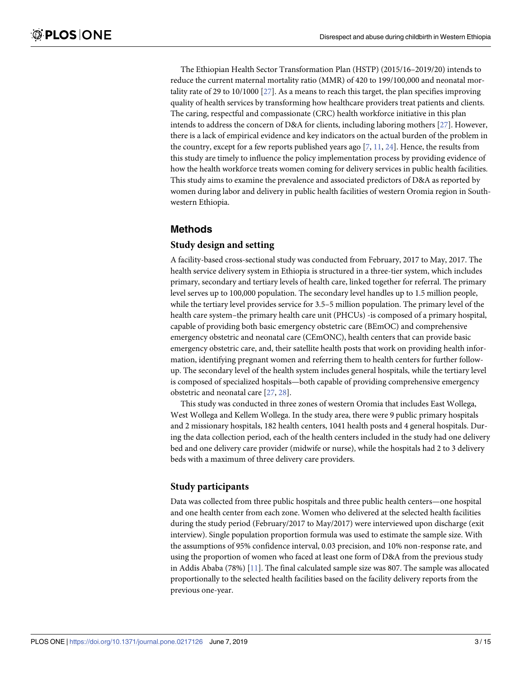<span id="page-2-0"></span>The Ethiopian Health Sector Transformation Plan (HSTP) (2015/16–2019/20) intends to reduce the current maternal mortality ratio (MMR) of 420 to 199/100,000 and neonatal mortality rate of 29 to 10/1000 [\[27\]](#page-14-0). As a means to reach this target, the plan specifies improving quality of health services by transforming how healthcare providers treat patients and clients. The caring, respectful and compassionate (CRC) health workforce initiative in this plan intends to address the concern of D&A for clients, including laboring mothers [\[27\]](#page-14-0). However, there is a lack of empirical evidence and key indicators on the actual burden of the problem in the country, except for a few reports published years ago  $[7, 11, 24]$  $[7, 11, 24]$  $[7, 11, 24]$  $[7, 11, 24]$  $[7, 11, 24]$ . Hence, the results from this study are timely to influence the policy implementation process by providing evidence of how the health workforce treats women coming for delivery services in public health facilities. This study aims to examine the prevalence and associated predictors of D&A as reported by women during labor and delivery in public health facilities of western Oromia region in Southwestern Ethiopia.

# **Methods**

### **Study design and setting**

A facility-based cross-sectional study was conducted from February, 2017 to May, 2017. The health service delivery system in Ethiopia is structured in a three-tier system, which includes primary, secondary and tertiary levels of health care, linked together for referral. The primary level serves up to 100,000 population. The secondary level handles up to 1.5 million people, while the tertiary level provides service for 3.5–5 million population. The primary level of the health care system–the primary health care unit (PHCUs) -is composed of a primary hospital, capable of providing both basic emergency obstetric care (BEmOC) and comprehensive emergency obstetric and neonatal care (CEmONC), health centers that can provide basic emergency obstetric care, and, their satellite health posts that work on providing health information, identifying pregnant women and referring them to health centers for further followup. The secondary level of the health system includes general hospitals, while the tertiary level is composed of specialized hospitals—both capable of providing comprehensive emergency obstetric and neonatal care [[27](#page-14-0), [28](#page-14-0)].

This study was conducted in three zones of western Oromia that includes East Wollega, West Wollega and Kellem Wollega. In the study area, there were 9 public primary hospitals and 2 missionary hospitals, 182 health centers, 1041 health posts and 4 general hospitals. During the data collection period, each of the health centers included in the study had one delivery bed and one delivery care provider (midwife or nurse), while the hospitals had 2 to 3 delivery beds with a maximum of three delivery care providers.

#### **Study participants**

Data was collected from three public hospitals and three public health centers—one hospital and one health center from each zone. Women who delivered at the selected health facilities during the study period (February/2017 to May/2017) were interviewed upon discharge (exit interview). Single population proportion formula was used to estimate the sample size. With the assumptions of 95% confidence interval, 0.03 precision, and 10% non-response rate, and using the proportion of women who faced at least one form of D&A from the previous study in Addis Ababa (78%) [[11](#page-13-0)]. The final calculated sample size was 807. The sample was allocated proportionally to the selected health facilities based on the facility delivery reports from the previous one-year.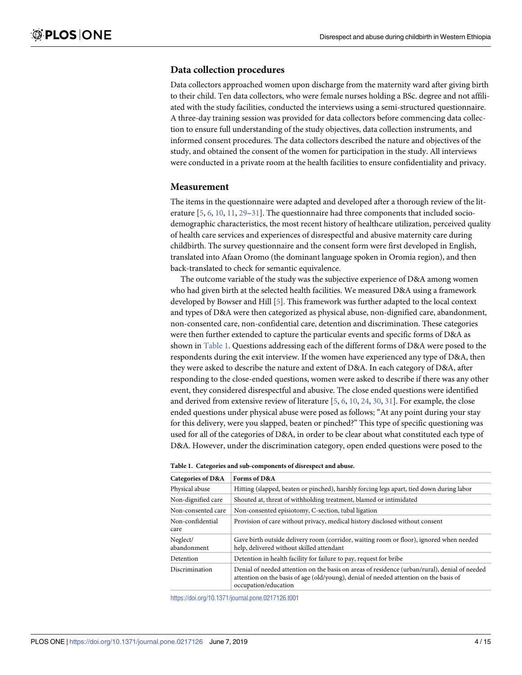### <span id="page-3-0"></span>**Data collection procedures**

Data collectors approached women upon discharge from the maternity ward after giving birth to their child. Ten data collectors, who were female nurses holding a BSc. degree and not affiliated with the study facilities, conducted the interviews using a semi-structured questionnaire. A three-day training session was provided for data collectors before commencing data collection to ensure full understanding of the study objectives, data collection instruments, and informed consent procedures. The data collectors described the nature and objectives of the study, and obtained the consent of the women for participation in the study. All interviews were conducted in a private room at the health facilities to ensure confidentiality and privacy.

#### **Measurement**

The items in the questionnaire were adapted and developed after a thorough review of the literature [\[5,](#page-13-0) [6](#page-13-0), [10](#page-13-0), [11,](#page-13-0) [29–31\]](#page-14-0). The questionnaire had three components that included sociodemographic characteristics, the most recent history of healthcare utilization, perceived quality of health care services and experiences of disrespectful and abusive maternity care during childbirth. The survey questionnaire and the consent form were first developed in English, translated into Afaan Oromo (the dominant language spoken in Oromia region), and then back-translated to check for semantic equivalence.

The outcome variable of the study was the subjective experience of D&A among women who had given birth at the selected health facilities. We measured D&A using a framework developed by Bowser and Hill [\[5\]](#page-13-0). This framework was further adapted to the local context and types of D&A were then categorized as physical abuse, non-dignified care, abandonment, non-consented care, non-confidential care, detention and discrimination. These categories were then further extended to capture the particular events and specific forms of D&A as shown in Table 1. Questions addressing each of the different forms of D&A were posed to the respondents during the exit interview. If the women have experienced any type of D&A, then they were asked to describe the nature and extent of D&A. In each category of D&A, after responding to the close-ended questions, women were asked to describe if there was any other event, they considered disrespectful and abusive. The close ended questions were identified and derived from extensive review of literature [\[5,](#page-13-0) [6](#page-13-0), [10](#page-13-0), [24](#page-14-0), [30](#page-14-0), [31\]](#page-14-0). For example, the close ended questions under physical abuse were posed as follows; "At any point during your stay for this delivery, were you slapped, beaten or pinched?" This type of specific questioning was used for all of the categories of D&A, in order to be clear about what constituted each type of D&A. However, under the discrimination category, open ended questions were posed to the

| <b>Categories of D&amp;A</b> | Forms of D&A                                                                                                                                                                                                   |
|------------------------------|----------------------------------------------------------------------------------------------------------------------------------------------------------------------------------------------------------------|
| Physical abuse               | Hitting (slapped, beaten or pinched), harshly forcing legs apart, tied down during labor                                                                                                                       |
| Non-dignified care           | Shouted at, threat of withholding treatment, blamed or intimidated                                                                                                                                             |
| Non-consented care           | Non-consented episiotomy, C-section, tubal ligation                                                                                                                                                            |
| Non-confidential<br>care     | Provision of care without privacy, medical history disclosed without consent                                                                                                                                   |
| Neglect/<br>abandonment      | Gave birth outside delivery room (corridor, waiting room or floor), ignored when needed<br>help, delivered without skilled attendant                                                                           |
| Detention                    | Detention in health facility for failure to pay, request for bribe                                                                                                                                             |
| Discrimination               | Denial of needed attention on the basis on areas of residence (urban/rural), denial of needed<br>attention on the basis of age (old/young), denial of needed attention on the basis of<br>occupation/education |

<https://doi.org/10.1371/journal.pone.0217126.t001>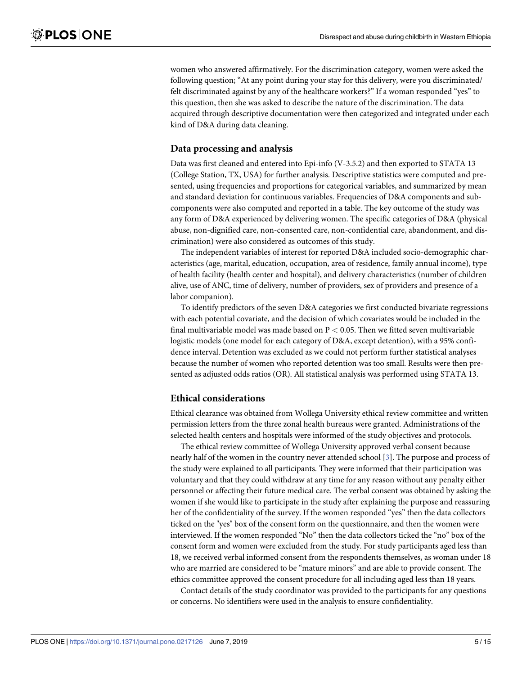women who answered affirmatively. For the discrimination category, women were asked the following question; "At any point during your stay for this delivery, were you discriminated/ felt discriminated against by any of the healthcare workers?" If a woman responded "yes" to this question, then she was asked to describe the nature of the discrimination. The data acquired through descriptive documentation were then categorized and integrated under each kind of D&A during data cleaning.

#### **Data processing and analysis**

Data was first cleaned and entered into Epi-info (V-3.5.2) and then exported to STATA 13 (College Station, TX, USA) for further analysis. Descriptive statistics were computed and presented, using frequencies and proportions for categorical variables, and summarized by mean and standard deviation for continuous variables. Frequencies of D&A components and subcomponents were also computed and reported in a table. The key outcome of the study was any form of D&A experienced by delivering women. The specific categories of D&A (physical abuse, non-dignified care, non-consented care, non-confidential care, abandonment, and discrimination) were also considered as outcomes of this study.

The independent variables of interest for reported D&A included socio-demographic characteristics (age, marital, education, occupation, area of residence, family annual income), type of health facility (health center and hospital), and delivery characteristics (number of children alive, use of ANC, time of delivery, number of providers, sex of providers and presence of a labor companion).

To identify predictors of the seven D&A categories we first conducted bivariate regressions with each potential covariate, and the decision of which covariates would be included in the final multivariable model was made based on P *<* 0.05. Then we fitted seven multivariable logistic models (one model for each category of D&A, except detention), with a 95% confidence interval. Detention was excluded as we could not perform further statistical analyses because the number of women who reported detention was too small. Results were then presented as adjusted odds ratios (OR). All statistical analysis was performed using STATA 13.

#### **Ethical considerations**

Ethical clearance was obtained from Wollega University ethical review committee and written permission letters from the three zonal health bureaus were granted. Administrations of the selected health centers and hospitals were informed of the study objectives and protocols.

The ethical review committee of Wollega University approved verbal consent because nearly half of the women in the country never attended school [\[3](#page-13-0)]. The purpose and process of the study were explained to all participants. They were informed that their participation was voluntary and that they could withdraw at any time for any reason without any penalty either personnel or affecting their future medical care. The verbal consent was obtained by asking the women if she would like to participate in the study after explaining the purpose and reassuring her of the confidentiality of the survey. If the women responded "yes" then the data collectors ticked on the "yes" box of the consent form on the questionnaire, and then the women were interviewed. If the women responded "No" then the data collectors ticked the "no" box of the consent form and women were excluded from the study. For study participants aged less than 18, we received verbal informed consent from the respondents themselves, as woman under 18 who are married are considered to be "mature minors" and are able to provide consent. The ethics committee approved the consent procedure for all including aged less than 18 years.

Contact details of the study coordinator was provided to the participants for any questions or concerns. No identifiers were used in the analysis to ensure confidentiality.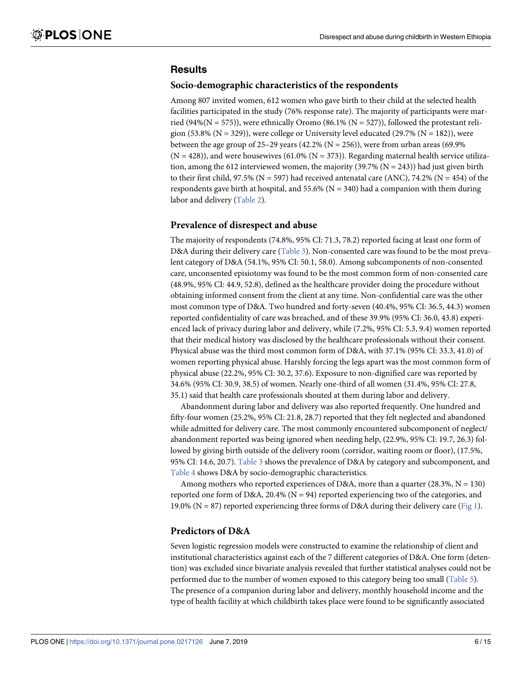# <span id="page-5-0"></span>**Results**

#### **Socio-demographic characteristics of the respondents**

Among 807 invited women, 612 women who gave birth to their child at the selected health facilities participated in the study (76% response rate). The majority of participants were married (94%(N = 575)), were ethnically Oromo (86.1% (N = 527)), followed the protestant religion (53.8% (N = 329)), were college or University level educated (29.7% (N = 182)), were between the age group of 25-29 years (42.2% (N = 256)), were from urban areas (69.9%  $(N = 428)$ ), and were housewives  $(61.0\% (N = 373))$ . Regarding maternal health service utilization, among the 612 interviewed women, the majority (39.7% ( $N = 243$ )) had just given birth to their first child, 97.5% (N = 597) had received antenatal care (ANC), 74.2% (N = 454) of the respondents gave birth at hospital, and 55.6% ( $N = 340$ ) had a companion with them during labor and delivery [\(Table](#page-6-0) 2).

#### **Prevalence of disrespect and abuse**

The majority of respondents (74.8%, 95% CI: 71.3, 78.2) reported facing at least one form of D&A during their delivery care [\(Table](#page-7-0) 3). Non-consented care was found to be the most prevalent category of D&A (54.1%, 95% CI: 50.1, 58.0). Among subcomponents of non-consented care, unconsented episiotomy was found to be the most common form of non-consented care (48.9%, 95% CI: 44.9, 52.8), defined as the healthcare provider doing the procedure without obtaining informed consent from the client at any time. Non-confidential care was the other most common type of D&A. Two hundred and forty-seven (40.4%, 95% CI: 36.5, 44.3) women reported confidentiality of care was breached, and of these 39.9% (95% CI: 36.0, 43.8) experienced lack of privacy during labor and delivery, while (7.2%, 95% CI: 5.3, 9.4) women reported that their medical history was disclosed by the healthcare professionals without their consent. Physical abuse was the third most common form of D&A, with 37.1% (95% CI: 33.3, 41.0) of women reporting physical abuse. Harshly forcing the legs apart was the most common form of physical abuse (22.2%, 95% CI: 30.2, 37.6). Exposure to non-dignified care was reported by 34.6% (95% CI: 30.9, 38.5) of women. Nearly one-third of all women (31.4%, 95% CI: 27.8, 35.1) said that health care professionals shouted at them during labor and delivery.

Abandonment during labor and delivery was also reported frequently. One hundred and fifty-four women (25.2%, 95% CI: 21.8, 28.7) reported that they felt neglected and abandoned while admitted for delivery care. The most commonly encountered subcomponent of neglect/ abandonment reported was being ignored when needing help, (22.9%, 95% CI: 19.7, 26.3) followed by giving birth outside of the delivery room (corridor, waiting room or floor), (17.5%, 95% CI: 14.6, 20.7). [Table](#page-7-0) 3 shows the prevalence of D&A by category and subcomponent, and [Table](#page-8-0) 4 shows D&A by socio-demographic characteristics.

Among mothers who reported experiences of D&A, more than a quarter (28.3%,  $N = 130$ ) reported one form of D&A,  $20.4\%$  (N = 94) reported experiencing two of the categories, and 19.0% (N = 87) reported experiencing three forms of D&A during their delivery care ([Fig](#page-9-0) 1).

#### **Predictors of D&A**

Seven logistic regression models were constructed to examine the relationship of client and institutional characteristics against each of the 7 different categories of D&A. One form (detention) was excluded since bivariate analysis revealed that further statistical analyses could not be performed due to the number of women exposed to this category being too small ([Table](#page-10-0) 5). The presence of a companion during labor and delivery, monthly household income and the type of health facility at which childbirth takes place were found to be significantly associated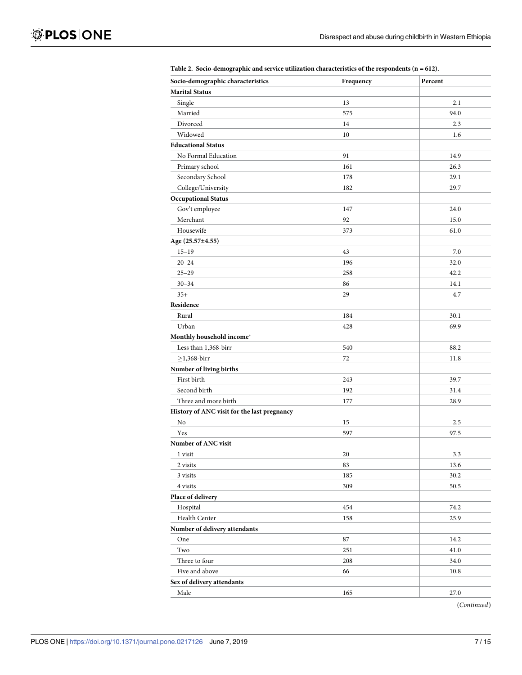<span id="page-6-0"></span>

| Socio-demographic characteristics           | Frequency | Percent |
|---------------------------------------------|-----------|---------|
| <b>Marital Status</b>                       |           |         |
| Single                                      | 13        | 2.1     |
| Married                                     | 575       | 94.0    |
| Divorced                                    | 14        | 2.3     |
| Widowed                                     | 10        | 1.6     |
| <b>Educational Status</b>                   |           |         |
| No Formal Education                         | 91        | 14.9    |
| Primary school                              | 161       | 26.3    |
| Secondary School                            | 178       | 29.1    |
| College/University                          | 182       | 29.7    |
| <b>Occupational Status</b>                  |           |         |
| Gov't employee                              | 147       | 24.0    |
| Merchant                                    | 92        | 15.0    |
| Housewife                                   | 373       | 61.0    |
| Age (25.57±4.55)                            |           |         |
| $15 - 19$                                   | 43        | 7.0     |
| $20 - 24$                                   | 196       | 32.0    |
| $25 - 29$                                   | 258       | 42.2    |
| $30 - 34$                                   | 86        | 14.1    |
| $35+$                                       | 29        | 4.7     |
| Residence                                   |           |         |
| Rural                                       | 184       | 30.1    |
| Urban                                       | 428       | 69.9    |
| Monthly household income*                   |           |         |
| Less than 1,368-birr                        | 540       | 88.2    |
| $>1,368$ -birr                              | 72        | 11.8    |
| Number of living births                     |           |         |
| First birth                                 | 243       | 39.7    |
| Second birth                                | 192       | 31.4    |
| Three and more birth                        | 177       | 28.9    |
| History of ANC visit for the last pregnancy |           |         |
| No                                          | 15        | 2.5     |
| Yes                                         | 597       | 97.5    |
| Number of ANC visit                         |           |         |
| 1 visit                                     | 20        | 3.3     |
| 2 visits                                    | 83        | 13.6    |
| 3 visits                                    | 185       | 30.2    |
| 4 visits                                    | 309       | 50.5    |
| Place of delivery                           |           |         |
| Hospital                                    | 454       | 74.2    |
| Health Center                               | 158       | 25.9    |
| Number of delivery attendants               |           |         |
| One                                         | 87        | 14.2    |
| Two                                         | 251       | 41.0    |
| Three to four                               | 208       | 34.0    |
| Five and above                              | 66        | 10.8    |
| Sex of delivery attendants                  |           |         |
| Male                                        | 165       | 27.0    |

|  |  | Table 2. Socio-demographic and service utilization characteristics of the respondents $(n = 612)$ . |
|--|--|-----------------------------------------------------------------------------------------------------|
|  |  |                                                                                                     |

(*Continued*)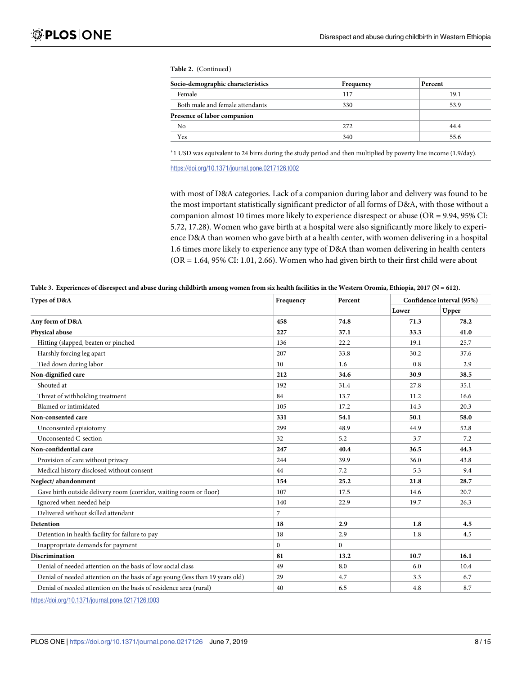<span id="page-7-0"></span>**Table 2.** (Continued)

| Socio-demographic characteristics | Frequency | Percent |
|-----------------------------------|-----------|---------|
| Female                            | 117       | 19.1    |
| Both male and female attendants   | 330       | 53.9    |
| Presence of labor companion       |           |         |
| No                                | 272       | 44.4    |
| Yes                               | 340       | 55.6    |

�1 USD was equivalent to 24 birrs during the study period and then multiplied by poverty line income (1.9/day).

<https://doi.org/10.1371/journal.pone.0217126.t002>

with most of D&A categories. Lack of a companion during labor and delivery was found to be the most important statistically significant predictor of all forms of D&A, with those without a companion almost 10 times more likely to experience disrespect or abuse (OR = 9.94, 95% CI: 5.72, 17.28). Women who gave birth at a hospital were also significantly more likely to experience D&A than women who gave birth at a health center, with women delivering in a hospital 1.6 times more likely to experience any type of D&A than women delivering in health centers (OR = 1.64, 95% CI: 1.01, 2.66). Women who had given birth to their first child were about

| Table 3. Experiences of disrespect and abuse during childbirth among women from six health facilities in the Western Oromia, Ethiopia, 2017 (N = 612). |
|--------------------------------------------------------------------------------------------------------------------------------------------------------|
|--------------------------------------------------------------------------------------------------------------------------------------------------------|

| Types of D&A                                                                  | Frequency      | Percent      |       | Confidence interval (95%) |  |
|-------------------------------------------------------------------------------|----------------|--------------|-------|---------------------------|--|
|                                                                               |                |              | Lower | Upper                     |  |
| Any form of D&A                                                               | 458            | 74.8         | 71.3  | 78.2                      |  |
| Physical abuse                                                                | 227            | 37.1         | 33.3  | 41.0                      |  |
| Hitting (slapped, beaten or pinched                                           | 136            | 22.2         | 19.1  | 25.7                      |  |
| Harshly forcing leg apart                                                     | 207            | 33.8         | 30.2  | 37.6                      |  |
| Tied down during labor                                                        | 10             | 1.6          | 0.8   | 2.9                       |  |
| Non-dignified care                                                            | 212            | 34.6         | 30.9  | 38.5                      |  |
| Shouted at                                                                    | 192            | 31.4         | 27.8  | 35.1                      |  |
| Threat of withholding treatment                                               | 84             | 13.7         | 11.2  | 16.6                      |  |
| Blamed or intimidated                                                         | 105            | 17.2         | 14.3  | 20.3                      |  |
| Non-consented care                                                            | 331            | 54.1         | 50.1  | 58.0                      |  |
| Unconsented episiotomy                                                        | 299            | 48.9         | 44.9  | 52.8                      |  |
| Unconsented C-section                                                         | 32             | 5.2          | 3.7   | 7.2                       |  |
| Non-confidential care                                                         | 247            | 40.4         | 36.5  | 44.3                      |  |
| Provision of care without privacy                                             | 244            | 39.9         | 36.0  | 43.8                      |  |
| Medical history disclosed without consent                                     | 44             | 7.2          | 5.3   | 9.4                       |  |
| Neglect/abandonment                                                           | 154            | 25.2         | 21.8  | 28.7                      |  |
| Gave birth outside delivery room (corridor, waiting room or floor)            | 107            | 17.5         | 14.6  | 20.7                      |  |
| Ignored when needed help                                                      | 140            | 22.9         | 19.7  | 26.3                      |  |
| Delivered without skilled attendant                                           | $\overline{7}$ |              |       |                           |  |
| Detention                                                                     | 18             | 2.9          | 1.8   | 4.5                       |  |
| Detention in health facility for failure to pay                               | 18             | 2.9          | 1.8   | 4.5                       |  |
| Inappropriate demands for payment                                             | $\mathbf{0}$   | $\mathbf{0}$ |       |                           |  |
| <b>Discrimination</b>                                                         | 81             | 13.2         | 10.7  | 16.1                      |  |
| Denial of needed attention on the basis of low social class                   | 49             | 8.0          | 6.0   | 10.4                      |  |
| Denial of needed attention on the basis of age young (less than 19 years old) | 29             | 4.7          | 3.3   | 6.7                       |  |
| Denial of needed attention on the basis of residence area (rural)             | 40             | 6.5          | 4.8   | 8.7                       |  |

<https://doi.org/10.1371/journal.pone.0217126.t003>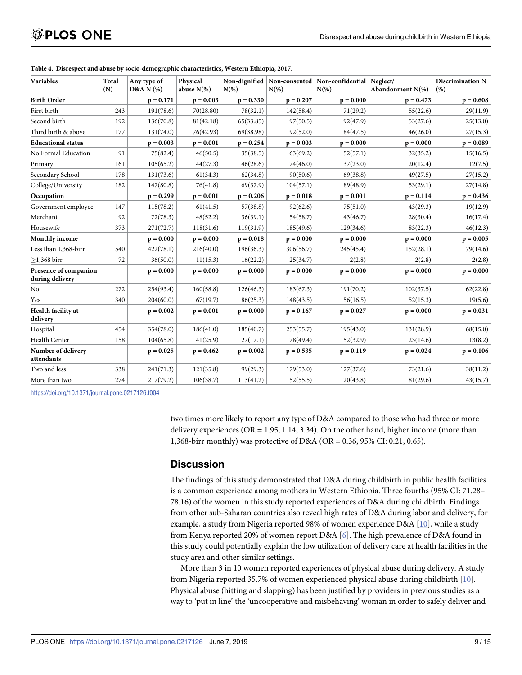| <b>Variables</b>                         | Total<br>(N) | Any type of<br>D&A N (%) | Physical<br>abuse $N(\%)$ | $N(\%)$     | $N(\%)$     | Non-dignified   Non-consented   Non-confidential   Neglect/<br>$N(\%)$ | Abandonment N(%) | Discrimination N<br>(%) |
|------------------------------------------|--------------|--------------------------|---------------------------|-------------|-------------|------------------------------------------------------------------------|------------------|-------------------------|
| <b>Birth Order</b>                       |              | $p = 0.171$              | $p = 0.003$               | $p = 0.330$ | $p = 0.207$ | $p = 0.000$                                                            | $p = 0.473$      | $p = 0.608$             |
| First birth                              | 243          | 191(78.6)                | 70(28.80)                 | 78(32.1)    | 142(58.4)   | 71(29.2)                                                               | 55(22.6)         | 29(11.9)                |
| Second birth                             | 192          | 136(70.8)                | 81(42.18)                 | 65(33.85)   | 97(50.5)    | 92(47.9)                                                               | 53(27.6)         | 25(13.0)                |
| Third birth & above                      | 177          | 131(74.0)                | 76(42.93)                 | 69(38.98)   | 92(52.0)    | 84(47.5)                                                               | 46(26.0)         | 27(15.3)                |
| <b>Educational status</b>                |              | $p = 0.003$              | $p = 0.001$               | $p = 0.254$ | $p = 0.003$ | $p = 0.000$                                                            | $p = 0.000$      | $p = 0.089$             |
| No Formal Education                      | 91           | 75(82.4)                 | 46(50.5)                  | 35(38.5)    | 63(69.2)    | 52(57.1)                                                               | 32(35.2)         | 15(16.5)                |
| Primary                                  | 161          | 105(65.2)                | 44(27.3)                  | 46(28.6)    | 74(46.0)    | 37(23.0)                                                               | 20(12.4)         | 12(7.5)                 |
| Secondary School                         | 178          | 131(73.6)                | 61(34.3)                  | 62(34.8)    | 90(50.6)    | 69(38.8)                                                               | 49(27.5)         | 27(15.2)                |
| College/University                       | 182          | 147(80.8)                | 76(41.8)                  | 69(37.9)    | 104(57.1)   | 89(48.9)                                                               | 53(29.1)         | 27(14.8)                |
| Occupation                               |              | $p = 0.299$              | $p = 0.001$               | $p = 0.206$ | $p = 0.018$ | $p = 0.001$                                                            | $p = 0.114$      | $p = 0.436$             |
| Government employee                      | 147          | 115(78.2)                | 61(41.5)                  | 57(38.8)    | 92(62.6)    | 75(51.0)                                                               | 43(29.3)         | 19(12.9)                |
| Merchant                                 | 92           | 72(78.3)                 | 48(52.2)                  | 36(39.1)    | 54(58.7)    | 43(46.7)                                                               | 28(30.4)         | 16(17.4)                |
| Housewife                                | 373          | 271(72.7)                | 118(31.6)                 | 119(31.9)   | 185(49.6)   | 129(34.6)                                                              | 83(22.3)         | 46(12.3)                |
| Monthly income                           |              | $p = 0.000$              | $p = 0.000$               | $p = 0.018$ | $p = 0.000$ | $p = 0.000$                                                            | $p = 0.000$      | $p = 0.005$             |
| Less than 1,368-birr                     | 540          | 422(78.1)                | 216(40.0)                 | 196(36.3)   | 306(56.7)   | 245(45.4)                                                              | 152(28.1)        | 79(14.6)                |
| $>1,368$ birr                            | 72           | 36(50.0)                 | 11(15.3)                  | 16(22.2)    | 25(34.7)    | 2(2.8)                                                                 | 2(2.8)           | 2(2.8)                  |
| Presence of companion<br>during delivery |              | $p = 0.000$              | $p = 0.000$               | $p = 0.000$ | $p = 0.000$ | $p = 0.000$                                                            | $p = 0.000$      | $p = 0.000$             |
| No                                       | 272          | 254(93.4)                | 160(58.8)                 | 126(46.3)   | 183(67.3)   | 191(70.2)                                                              | 102(37.5)        | 62(22.8)                |
| Yes                                      | 340          | 204(60.0)                | 67(19.7)                  | 86(25.3)    | 148(43.5)   | 56(16.5)                                                               | 52(15.3)         | 19(5.6)                 |
| Health facility at<br>delivery           |              | $p = 0.002$              | $p = 0.001$               | $p = 0.000$ | $p = 0.167$ | $p = 0.027$                                                            | $p = 0.000$      | $p = 0.031$             |
| Hospital                                 | 454          | 354(78.0)                | 186(41.0)                 | 185(40.7)   | 253(55.7)   | 195(43.0)                                                              | 131(28.9)        | 68(15.0)                |
| Health Center                            | 158          | 104(65.8)                | 41(25.9)                  | 27(17.1)    | 78(49.4)    | 52(32.9)                                                               | 23(14.6)         | 13(8.2)                 |
| Number of delivery<br>attendants         |              | $p = 0.025$              | $p = 0.462$               | $p = 0.002$ | $p = 0.535$ | $p = 0.119$                                                            | $p = 0.024$      | $p = 0.106$             |
| Two and less                             | 338          | 241(71.3)                | 121(35.8)                 | 99(29.3)    | 179(53.0)   | 127(37.6)                                                              | 73(21.6)         | 38(11.2)                |
| More than two                            | 274          | 217(79.2)                | 106(38.7)                 | 113(41.2)   | 152(55.5)   | 120(43.8)                                                              | 81(29.6)         | 43(15.7)                |

<span id="page-8-0"></span>**[Table](#page-5-0) 4. Disrespect and abuse by socio-demographic characteristics, Western Ethiopia, 2017.**

<https://doi.org/10.1371/journal.pone.0217126.t004>

two times more likely to report any type of D&A compared to those who had three or more delivery experiences ( $OR = 1.95, 1.14, 3.34$ ). On the other hand, higher income (more than 1,368-birr monthly) was protective of D&A (OR = 0.36, 95% CI: 0.21, 0.65).

## **Discussion**

The findings of this study demonstrated that D&A during childbirth in public health facilities is a common experience among mothers in Western Ethiopia. Three fourths (95% CI: 71.28– 78.16) of the women in this study reported experiences of D&A during childbirth. Findings from other sub-Saharan countries also reveal high rates of D&A during labor and delivery, for example, a study from Nigeria reported 98% of women experience D&A [\[10\]](#page-13-0), while a study from Kenya reported 20% of women report D&A [[6](#page-13-0)]. The high prevalence of D&A found in this study could potentially explain the low utilization of delivery care at health facilities in the study area and other similar settings.

More than 3 in 10 women reported experiences of physical abuse during delivery. A study from Nigeria reported 35.7% of women experienced physical abuse during childbirth [\[10\]](#page-13-0). Physical abuse (hitting and slapping) has been justified by providers in previous studies as a way to 'put in line' the 'uncooperative and misbehaving' woman in order to safely deliver and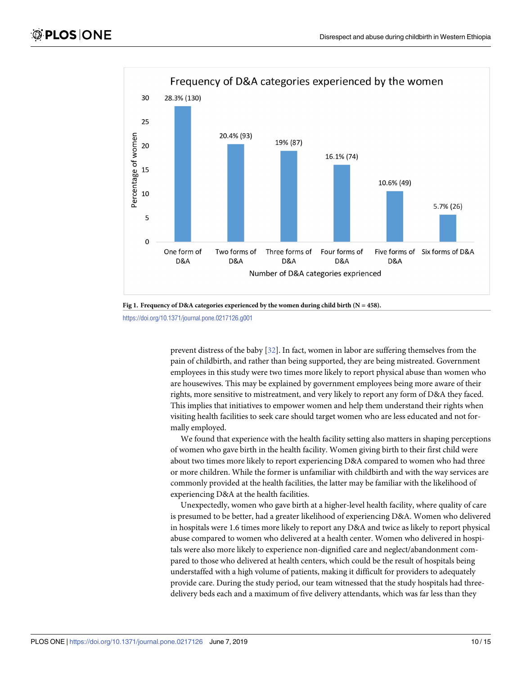<span id="page-9-0"></span>



<https://doi.org/10.1371/journal.pone.0217126.g001>

prevent distress of the baby [[32](#page-14-0)]. In fact, women in labor are suffering themselves from the pain of childbirth, and rather than being supported, they are being mistreated. Government employees in this study were two times more likely to report physical abuse than women who are housewives. This may be explained by government employees being more aware of their rights, more sensitive to mistreatment, and very likely to report any form of D&A they faced. This implies that initiatives to empower women and help them understand their rights when visiting health facilities to seek care should target women who are less educated and not formally employed.

We found that experience with the health facility setting also matters in shaping perceptions of women who gave birth in the health facility. Women giving birth to their first child were about two times more likely to report experiencing D&A compared to women who had three or more children. While the former is unfamiliar with childbirth and with the way services are commonly provided at the health facilities, the latter may be familiar with the likelihood of experiencing D&A at the health facilities.

Unexpectedly, women who gave birth at a higher-level health facility, where quality of care is presumed to be better, had a greater likelihood of experiencing D&A. Women who delivered in hospitals were 1.6 times more likely to report any D&A and twice as likely to report physical abuse compared to women who delivered at a health center. Women who delivered in hospitals were also more likely to experience non-dignified care and neglect/abandonment compared to those who delivered at health centers, which could be the result of hospitals being understaffed with a high volume of patients, making it difficult for providers to adequately provide care. During the study period, our team witnessed that the study hospitals had threedelivery beds each and a maximum of five delivery attendants, which was far less than they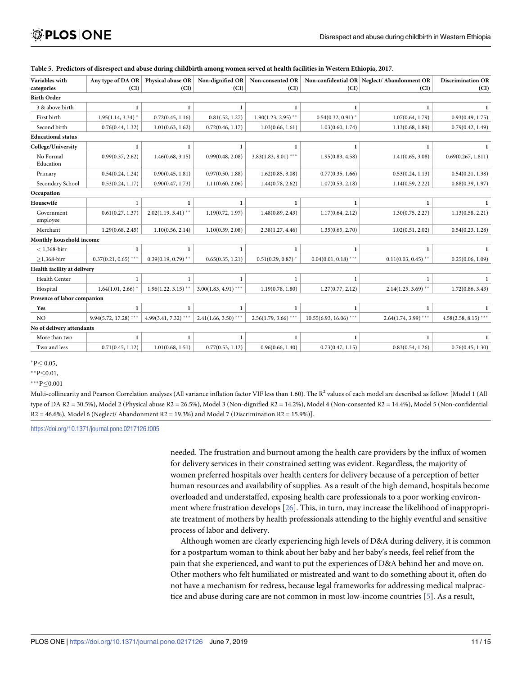| Variables with<br>categories | Any type of DA OR<br>(CI) | Physical abuse OR<br>(CI) | Non-dignified OR<br>(CI) | Non-consented OR<br>(CI) | (CI)                     | Non-confidential OR Neglect/Abandonment OR<br>(CI) | <b>Discrimination OR</b><br>(CI) |
|------------------------------|---------------------------|---------------------------|--------------------------|--------------------------|--------------------------|----------------------------------------------------|----------------------------------|
| <b>Birth Order</b>           |                           |                           |                          |                          |                          |                                                    |                                  |
| 3 & above birth              | $\mathbf{1}$              | 1                         | 1                        | 1                        | $\mathbf{1}$             | 1                                                  |                                  |
| First birth                  | $1.95(1.14, 3.34)^*$      | 0.72(0.45, 1.16)          | 0.81(.52, 1.27)          | $1.90(1.23, 2.95)$ **    | $0.54(0.32, 0.91)^*$     | 1.07(0.64, 1.79)                                   | 0.93(0.49, 1.75)                 |
| Second birth                 | 0.76(0.44, 1.32)          | 1.01(0.63, 1.62)          | 0.72(0.46, 1.17)         | 1.03(0.66, 1.61)         | 1.03(0.60, 1.74)         | 1.13(0.68, 1.89)                                   | 0.79(0.42, 1.49)                 |
| <b>Educational status</b>    |                           |                           |                          |                          |                          |                                                    |                                  |
| College/University           |                           |                           |                          |                          |                          | 1                                                  |                                  |
| No Formal<br>Education       | 0.99(0.37, 2.62)          | 1.46(0.68, 3.15)          | 0.99(0.48, 2.08)         | $3.83(1.83, 8.01)$ ***   | 1.95(0.83, 4.58)         | 1.41(0.65, 3.08)                                   | 0.69(0.267, 1.811)               |
| Primary                      | 0.54(0.24, 1.24)          | 0.90(0.45, 1.81)          | 0.97(0.50, 1.88)         | 1.62(0.85, 3.08)         | 0.77(0.35, 1.66)         | 0.53(0.24, 1.13)                                   | 0.54(0.21, 1.38)                 |
| Secondary School             | 0.53(0.24, 1.17)          | 0.90(0.47, 1.73)          | 1.11(0.60, 2.06)         | 1.44(0.78, 2.62)         | 1.07(0.53, 2.18)         | 1.14(0.59, 2.22)                                   | 0.88(0.39, 1.97)                 |
| Occupation                   |                           |                           |                          |                          |                          |                                                    |                                  |
| Housewife                    | $\mathbf{1}$              | $\mathbf{1}$              | $\mathbf{1}$             | 1                        | $\mathbf{1}$             | $\mathbf{1}$                                       |                                  |
| Government<br>employee       | 0.61(0.27, 1.37)          | $2.02(1.19, 3.41)$ **     | 1.19(0.72, 1.97)         | 1.48(0.89, 2.43)         | 1.17(0.64, 2.12)         | 1.30(0.75, 2.27)                                   | 1.13(0.58, 2.21)                 |
| Merchant                     | 1.29(0.68, 2.45)          | 1.10(0.56, 2.14)          | 1.10(0.59, 2.08)         | 2.38(1.27, 4.46)         | 1.35(0.65, 2.70)         | 1.02(0.51, 2.02)                                   | 0.54(0.23, 1.28)                 |
| Monthly household income     |                           |                           |                          |                          |                          |                                                    |                                  |
| $<$ 1,368-birr               | 1                         | 1                         | $\mathbf{1}$             | 1                        | $\mathbf{1}$             | 1                                                  |                                  |
| $>1,368$ -birr               | $0.37(0.21, 0.65)$ ***    | $0.39(0.19, 0.79)$ **     | 0.65(0.35, 1.21)         | $0.51(0.29, 0.87)$ *     | $0.04(0.01, 0.18)$ ***   | $0.11(0.03, 0.45)$ **                              | 0.25(0.06, 1.09)                 |
| Health facility at delivery  |                           |                           |                          |                          |                          |                                                    |                                  |
| Health Center                | $\mathbf{1}$              |                           |                          | $\mathbf{1}$             | $\mathbf{1}$             | $\mathbf{1}$                                       |                                  |
| Hospital                     | $1.64(1.01, 2.66)^*$      | $1.96(1.22, 3.15)$ **     | $3.00(1.83, 4.91)$ ***   | 1.19(0.78, 1.80)         | 1.27(0.77, 2.12)         | $2.14(1.25, 3.69)$ **                              | 1.72(0.86, 3.43)                 |
| Presence of labor companion  |                           |                           |                          |                          |                          |                                                    |                                  |
| Yes                          | 1                         | 1                         | 1                        | 1                        | 1                        | 1                                                  |                                  |
| NO                           | 9.94(5.72, 17.28)         | $4.99(3.41, 7.32)$ ***    | $2.41(1.66, 3.50)$ ***   | 2.56(1.79, 3.66)         | $10.55(6.93, 16.06)$ *** | $2.64(1.74, 3.99)$ ***                             | $4.58(2.58, 8.15)$ ***           |
| No of delivery attendants    |                           |                           |                          |                          |                          |                                                    |                                  |
| More than two                | 1                         | 1                         |                          | 1                        | 1                        | 1                                                  |                                  |
| Two and less                 | 0.71(0.45, 1.12)          | 1.01(0.68, 1.51)          | 0.77(0.53, 1.12)         | 0.96(0.66, 1.40)         | 0.73(0.47, 1.15)         | 0.83(0.54, 1.26)                                   | 0.76(0.45, 1.30)                 |

<span id="page-10-0"></span>

|  | Table 5. Predictors of disrespect and abuse during childbirth among women served at health facilities in Western Ethiopia, 2017. |  |  |  |
|--|----------------------------------------------------------------------------------------------------------------------------------|--|--|--|
|  |                                                                                                                                  |  |  |  |

 $*P \leq 0.05$ ,

 $*P < 0.01$ ,

 $***P<0.001$ 

Multi-collinearity and Pearson Correlation analyses (All variance inflation factor VIF less than 1.60). The  $R^2$  values of each model are described as follow: [Model 1 (All type of DA R2 = 30.5%), Model 2 (Physical abuse R2 = 26.5%), Model 3 (Non-dignified R2 = 14.2%), Model 4 (Non-consented R2 = 14.4%), Model 5 (Non-confidential  $R2 = 46.6\%$ ), Model 6 (Neglect/ Abandonment  $R2 = 19.3\%$ ) and Model 7 (Discrimination  $R2 = 15.9\%$ )].

<https://doi.org/10.1371/journal.pone.0217126.t005>

needed. The frustration and burnout among the health care providers by the influx of women for delivery services in their constrained setting was evident. Regardless, the majority of women preferred hospitals over health centers for delivery because of a perception of better human resources and availability of supplies. As a result of the high demand, hospitals become overloaded and understaffed, exposing health care professionals to a poor working environment where frustration develops [[26](#page-14-0)]. This, in turn, may increase the likelihood of inappropriate treatment of mothers by health professionals attending to the highly eventful and sensitive process of labor and delivery.

Although women are clearly experiencing high levels of D&A during delivery, it is common for a postpartum woman to think about her baby and her baby's needs, feel relief from the pain that she experienced, and want to put the experiences of D&A behind her and move on. Other mothers who felt humiliated or mistreated and want to do something about it, often do not have a mechanism for redress, because legal frameworks for addressing medical malpractice and abuse during care are not common in most low-income countries [\[5](#page-13-0)]. As a result,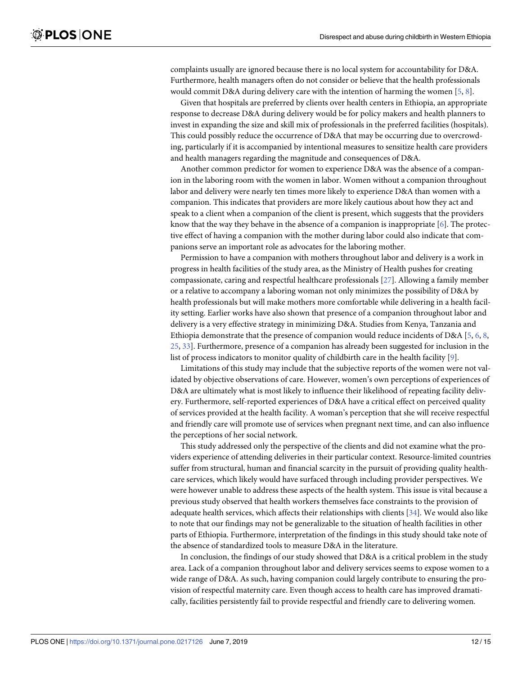<span id="page-11-0"></span>complaints usually are ignored because there is no local system for accountability for D&A. Furthermore, health managers often do not consider or believe that the health professionals would commit D&A during delivery care with the intention of harming the women [[5,](#page-13-0) [8\]](#page-13-0).

Given that hospitals are preferred by clients over health centers in Ethiopia, an appropriate response to decrease D&A during delivery would be for policy makers and health planners to invest in expanding the size and skill mix of professionals in the preferred facilities (hospitals). This could possibly reduce the occurrence of D&A that may be occurring due to overcrowding, particularly if it is accompanied by intentional measures to sensitize health care providers and health managers regarding the magnitude and consequences of D&A.

Another common predictor for women to experience D&A was the absence of a companion in the laboring room with the women in labor. Women without a companion throughout labor and delivery were nearly ten times more likely to experience D&A than women with a companion. This indicates that providers are more likely cautious about how they act and speak to a client when a companion of the client is present, which suggests that the providers know that the way they behave in the absence of a companion is inappropriate [\[6\]](#page-13-0). The protective effect of having a companion with the mother during labor could also indicate that companions serve an important role as advocates for the laboring mother.

Permission to have a companion with mothers throughout labor and delivery is a work in progress in health facilities of the study area, as the Ministry of Health pushes for creating compassionate, caring and respectful healthcare professionals [[27](#page-14-0)]. Allowing a family member or a relative to accompany a laboring woman not only minimizes the possibility of D&A by health professionals but will make mothers more comfortable while delivering in a health facility setting. Earlier works have also shown that presence of a companion throughout labor and delivery is a very effective strategy in minimizing D&A. Studies from Kenya, Tanzania and Ethiopia demonstrate that the presence of companion would reduce incidents of D&A [\[5,](#page-13-0) [6](#page-13-0), [8](#page-13-0), [25,](#page-14-0) [33](#page-14-0)]. Furthermore, presence of a companion has already been suggested for inclusion in the list of process indicators to monitor quality of childbirth care in the health facility [\[9](#page-13-0)].

Limitations of this study may include that the subjective reports of the women were not validated by objective observations of care. However, women's own perceptions of experiences of D&A are ultimately what is most likely to influence their likelihood of repeating facility delivery. Furthermore, self-reported experiences of D&A have a critical effect on perceived quality of services provided at the health facility. A woman's perception that she will receive respectful and friendly care will promote use of services when pregnant next time, and can also influence the perceptions of her social network.

This study addressed only the perspective of the clients and did not examine what the providers experience of attending deliveries in their particular context. Resource-limited countries suffer from structural, human and financial scarcity in the pursuit of providing quality healthcare services, which likely would have surfaced through including provider perspectives. We were however unable to address these aspects of the health system. This issue is vital because a previous study observed that health workers themselves face constraints to the provision of adequate health services, which affects their relationships with clients [[34](#page-14-0)]. We would also like to note that our findings may not be generalizable to the situation of health facilities in other parts of Ethiopia. Furthermore, interpretation of the findings in this study should take note of the absence of standardized tools to measure D&A in the literature.

In conclusion, the findings of our study showed that D&A is a critical problem in the study area. Lack of a companion throughout labor and delivery services seems to expose women to a wide range of D&A. As such, having companion could largely contribute to ensuring the provision of respectful maternity care. Even though access to health care has improved dramatically, facilities persistently fail to provide respectful and friendly care to delivering women.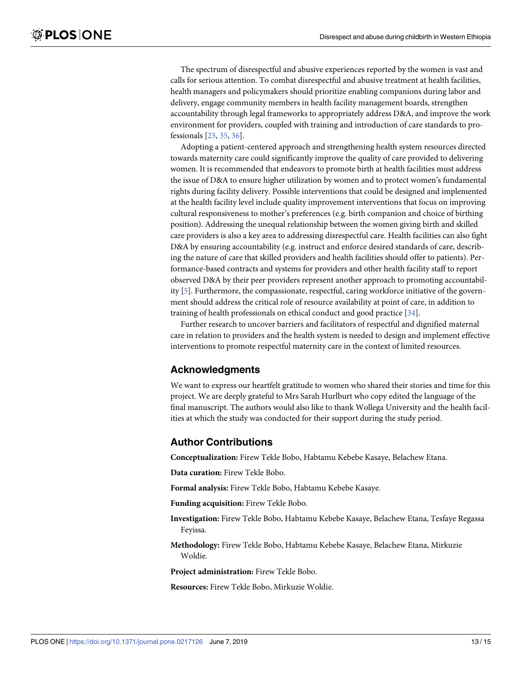<span id="page-12-0"></span>The spectrum of disrespectful and abusive experiences reported by the women is vast and calls for serious attention. To combat disrespectful and abusive treatment at health facilities, health managers and policymakers should prioritize enabling companions during labor and delivery, engage community members in health facility management boards, strengthen accountability through legal frameworks to appropriately address D&A, and improve the work environment for providers, coupled with training and introduction of care standards to professionals [[23](#page-14-0), [35](#page-14-0), [36](#page-14-0)].

Adopting a patient-centered approach and strengthening health system resources directed towards maternity care could significantly improve the quality of care provided to delivering women. It is recommended that endeavors to promote birth at health facilities must address the issue of D&A to ensure higher utilization by women and to protect women's fundamental rights during facility delivery. Possible interventions that could be designed and implemented at the health facility level include quality improvement interventions that focus on improving cultural responsiveness to mother's preferences (e.g. birth companion and choice of birthing position). Addressing the unequal relationship between the women giving birth and skilled care providers is also a key area to addressing disrespectful care. Health facilities can also fight D&A by ensuring accountability (e.g. instruct and enforce desired standards of care, describing the nature of care that skilled providers and health facilities should offer to patients). Performance-based contracts and systems for providers and other health facility staff to report observed D&A by their peer providers represent another approach to promoting accountability [[5\]](#page-13-0). Furthermore, the compassionate, respectful, caring workforce initiative of the government should address the critical role of resource availability at point of care, in addition to training of health professionals on ethical conduct and good practice [[34](#page-14-0)].

Further research to uncover barriers and facilitators of respectful and dignified maternal care in relation to providers and the health system is needed to design and implement effective interventions to promote respectful maternity care in the context of limited resources.

#### **Acknowledgments**

We want to express our heartfelt gratitude to women who shared their stories and time for this project. We are deeply grateful to Mrs Sarah Hurlburt who copy edited the language of the final manuscript. The authors would also like to thank Wollega University and the health facilities at which the study was conducted for their support during the study period.

### **Author Contributions**

**Conceptualization:** Firew Tekle Bobo, Habtamu Kebebe Kasaye, Belachew Etana.

**Data curation:** Firew Tekle Bobo.

**Formal analysis:** Firew Tekle Bobo, Habtamu Kebebe Kasaye.

**Funding acquisition:** Firew Tekle Bobo.

**Investigation:** Firew Tekle Bobo, Habtamu Kebebe Kasaye, Belachew Etana, Tesfaye Regassa Feyissa.

**Methodology:** Firew Tekle Bobo, Habtamu Kebebe Kasaye, Belachew Etana, Mirkuzie Woldie.

**Project administration:** Firew Tekle Bobo.

**Resources:** Firew Tekle Bobo, Mirkuzie Woldie.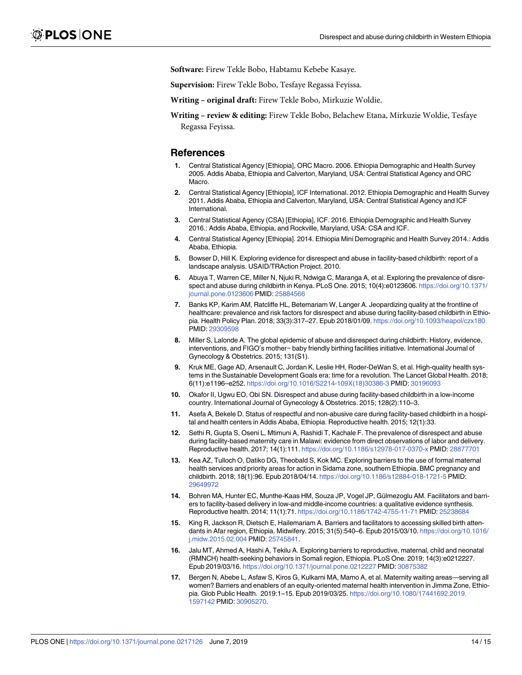<span id="page-13-0"></span>**Software:** Firew Tekle Bobo, Habtamu Kebebe Kasaye.

**Supervision:** Firew Tekle Bobo, Tesfaye Regassa Feyissa.

**Writing – original draft:** Firew Tekle Bobo, Mirkuzie Woldie.

**Writing – review & editing:** Firew Tekle Bobo, Belachew Etana, Mirkuzie Woldie, Tesfaye Regassa Feyissa.

#### **References**

- **[1](#page-1-0).** Central Statistical Agency [Ethiopia], ORC Macro. 2006. Ethiopia Demographic and Health Survey 2005. Addis Ababa, Ethiopia and Calverton, Maryland, USA: Central Statistical Agency and ORC Macro.
- **2.** Central Statistical Agency [Ethiopia], ICF International. 2012. Ethiopia Demographic and Health Survey 2011. Addis Ababa, Ethiopia and Calverton, Maryland, USA: Central Statistical Agency and ICF International.
- **[3](#page-1-0).** Central Statistical Agency (CSA) [Ethiopia], ICF. 2016. Ethiopia Demographic and Health Survey 2016.: Addis Ababa, Ethiopia, and Rockville, Maryland, USA: CSA and ICF.
- **[4](#page-1-0).** Central Statistical Agency [Ethiopia]. 2014. Ethiopia Mini Demographic and Health Survey 2014.: Addis Ababa, Ethiopia.
- **[5](#page-1-0).** Bowser D, Hill K. Exploring evidence for disrespect and abuse in facility-based childbirth: report of a landscape analysis. USAID/TRAction Project. 2010.
- **[6](#page-3-0).** Abuya T, Warren CE, Miller N, Njuki R, Ndwiga C, Maranga A, et al. Exploring the prevalence of disrespect and abuse during childbirth in Kenya. PLoS One. 2015; 10(4):e0123606. [https://doi.org/10.1371/](https://doi.org/10.1371/journal.pone.0123606) [journal.pone.0123606](https://doi.org/10.1371/journal.pone.0123606) PMID: [25884566](http://www.ncbi.nlm.nih.gov/pubmed/25884566)
- **[7](#page-1-0).** Banks KP, Karim AM, Ratcliffe HL, Betemariam W, Langer A. Jeopardizing quality at the frontline of healthcare: prevalence and risk factors for disrespect and abuse during facility-based childbirth in Ethiopia. Health Policy Plan. 2018; 33(3):317–27. Epub 2018/01/09. <https://doi.org/10.1093/heapol/czx180> PMID: [29309598](http://www.ncbi.nlm.nih.gov/pubmed/29309598)
- **[8](#page-1-0).** Miller S, Lalonde A. The global epidemic of abuse and disrespect during childbirth: History, evidence, interventions, and FIGO's mother− baby friendly birthing facilities initiative. International Journal of Gynecology & Obstetrics. 2015; 131(S1).
- **[9](#page-1-0).** Kruk ME, Gage AD, Arsenault C, Jordan K, Leslie HH, Roder-DeWan S, et al. High-quality health systems in the Sustainable Development Goals era: time for a revolution. The Lancet Global Health. 2018; 6(11):e1196–e252. [https://doi.org/10.1016/S2214-109X\(18\)30386-3](https://doi.org/10.1016/S2214-109X(18)30386-3) PMID: [30196093](http://www.ncbi.nlm.nih.gov/pubmed/30196093)
- **[10](#page-1-0).** Okafor II, Ugwu EO, Obi SN. Disrespect and abuse during facility-based childbirth in a low-income country. International Journal of Gynecology & Obstetrics. 2015; 128(2):110–3.
- **[11](#page-1-0).** Asefa A, Bekele D. Status of respectful and non-abusive care during facility-based childbirth in a hospital and health centers in Addis Ababa, Ethiopia. Reproductive health. 2015; 12(1):33.
- **[12](#page-1-0).** Sethi R, Gupta S, Oseni L, Mtimuni A, Rashidi T, Kachale F. The prevalence of disrespect and abuse during facility-based maternity care in Malawi: evidence from direct observations of labor and delivery. Reproductive health. 2017; 14(1):111. <https://doi.org/10.1186/s12978-017-0370-x> PMID: [28877701](http://www.ncbi.nlm.nih.gov/pubmed/28877701)
- **[13](#page-1-0).** Kea AZ, Tulloch O, Datiko DG, Theobald S, Kok MC. Exploring barriers to the use of formal maternal health services and priority areas for action in Sidama zone, southern Ethiopia. BMC pregnancy and childbirth. 2018; 18(1):96. Epub 2018/04/14. <https://doi.org/10.1186/s12884-018-1721-5> PMID: [29649972](http://www.ncbi.nlm.nih.gov/pubmed/29649972)
- [14](#page-1-0). Bohren MA, Hunter EC, Munthe-Kaas HM, Souza JP, Vogel JP, Gülmezoglu AM. Facilitators and barriers to facility-based delivery in low-and middle-income countries: a qualitative evidence synthesis. Reproductive health. 2014; 11(1):71. <https://doi.org/10.1186/1742-4755-11-71> PMID: [25238684](http://www.ncbi.nlm.nih.gov/pubmed/25238684)
- **[15](#page-1-0).** King R, Jackson R, Dietsch E, Hailemariam A. Barriers and facilitators to accessing skilled birth attendants in Afar region, Ethiopia. Midwifery. 2015; 31(5):540–6. Epub 2015/03/10. [https://doi.org/10.1016/](https://doi.org/10.1016/j.midw.2015.02.004) [j.midw.2015.02.004](https://doi.org/10.1016/j.midw.2015.02.004) PMID: [25745841](http://www.ncbi.nlm.nih.gov/pubmed/25745841).
- **[16](#page-1-0).** Jalu MT, Ahmed A, Hashi A, Tekilu A. Exploring barriers to reproductive, maternal, child and neonatal (RMNCH) health-seeking behaviors in Somali region, Ethiopia. PLoS One. 2019; 14(3):e0212227. Epub 2019/03/16. <https://doi.org/10.1371/journal.pone.0212227> PMID: [30875382](http://www.ncbi.nlm.nih.gov/pubmed/30875382)
- **[17](#page-1-0).** Bergen N, Abebe L, Asfaw S, Kiros G, Kulkarni MA, Mamo A, et al. Maternity waiting areas—serving all women? Barriers and enablers of an equity-oriented maternal health intervention in Jimma Zone, Ethiopia. Glob Public Health. 2019:1–15. Epub 2019/03/25. [https://doi.org/10.1080/17441692.2019.](https://doi.org/10.1080/17441692.2019.1597142) [1597142](https://doi.org/10.1080/17441692.2019.1597142) PMID: [30905270](http://www.ncbi.nlm.nih.gov/pubmed/30905270).